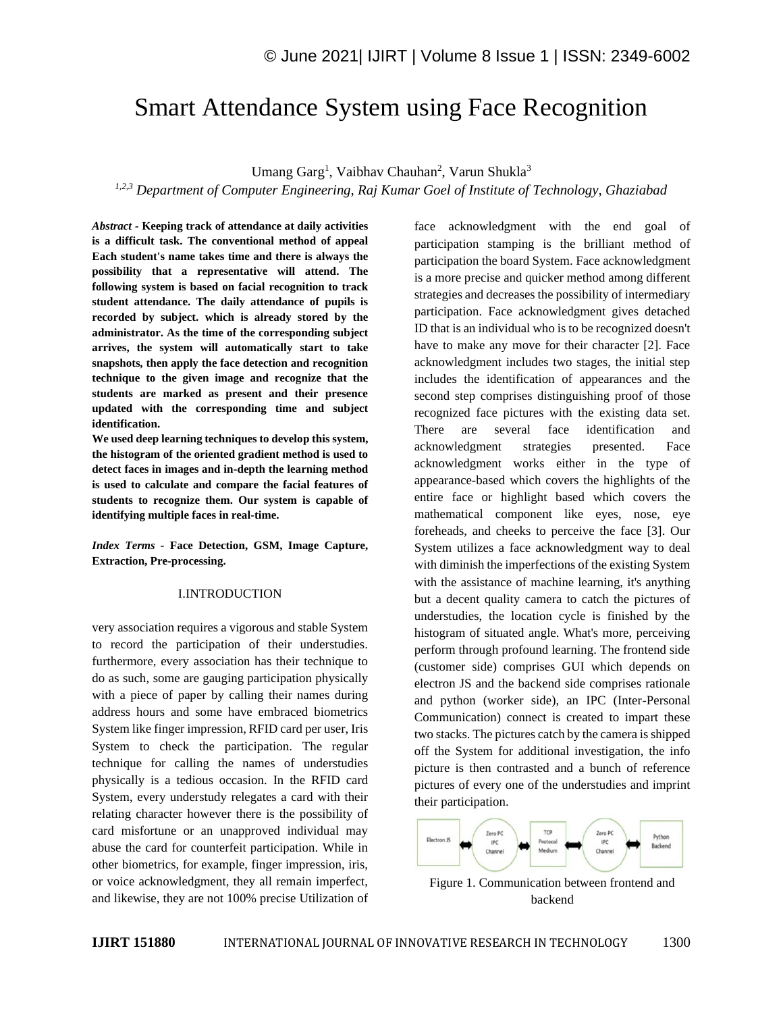# Smart Attendance System using Face Recognition

Umang Garg<sup>1</sup>, Vaibhav Chauhan<sup>2</sup>, Varun Shukla<sup>3</sup>

*1,2,3 Department of Computer Engineering, Raj Kumar Goel of Institute of Technology, Ghaziabad* 

*Abstract -* **Keeping track of attendance at daily activities is a difficult task. The conventional method of appeal Each student's name takes time and there is always the possibility that a representative will attend. The following system is based on facial recognition to track student attendance. The daily attendance of pupils is recorded by subject. which is already stored by the administrator. As the time of the corresponding subject arrives, the system will automatically start to take snapshots, then apply the face detection and recognition technique to the given image and recognize that the students are marked as present and their presence updated with the corresponding time and subject identification.** 

**We used deep learning techniques to develop this system, the histogram of the oriented gradient method is used to detect faces in images and in-depth the learning method is used to calculate and compare the facial features of students to recognize them. Our system is capable of identifying multiple faces in real-time.**

*Index Terms -* **Face Detection, GSM, Image Capture, Extraction, Pre-processing.**

# I.INTRODUCTION

very association requires a vigorous and stable System to record the participation of their understudies. furthermore, every association has their technique to do as such, some are gauging participation physically with a piece of paper by calling their names during address hours and some have embraced biometrics System like finger impression, RFID card per user, Iris System to check the participation. The regular technique for calling the names of understudies physically is a tedious occasion. In the RFID card System, every understudy relegates a card with their relating character however there is the possibility of card misfortune or an unapproved individual may abuse the card for counterfeit participation. While in other biometrics, for example, finger impression, iris, or voice acknowledgment, they all remain imperfect, and likewise, they are not 100% precise Utilization of face acknowledgment with the end goal of participation stamping is the brilliant method of participation the board System. Face acknowledgment is a more precise and quicker method among different strategies and decreases the possibility of intermediary participation. Face acknowledgment gives detached ID that is an individual who is to be recognized doesn't have to make any move for their character [2]. Face acknowledgment includes two stages, the initial step includes the identification of appearances and the second step comprises distinguishing proof of those recognized face pictures with the existing data set. There are several face identification and acknowledgment strategies presented. Face acknowledgment works either in the type of appearance-based which covers the highlights of the entire face or highlight based which covers the mathematical component like eyes, nose, eye foreheads, and cheeks to perceive the face [3]. Our System utilizes a face acknowledgment way to deal with diminish the imperfections of the existing System with the assistance of machine learning, it's anything but a decent quality camera to catch the pictures of understudies, the location cycle is finished by the histogram of situated angle. What's more, perceiving perform through profound learning. The frontend side (customer side) comprises GUI which depends on electron JS and the backend side comprises rationale and python (worker side), an IPC (Inter-Personal Communication) connect is created to impart these two stacks. The pictures catch by the camera is shipped off the System for additional investigation, the info picture is then contrasted and a bunch of reference pictures of every one of the understudies and imprint their participation.



Figure 1. Communication between frontend and backend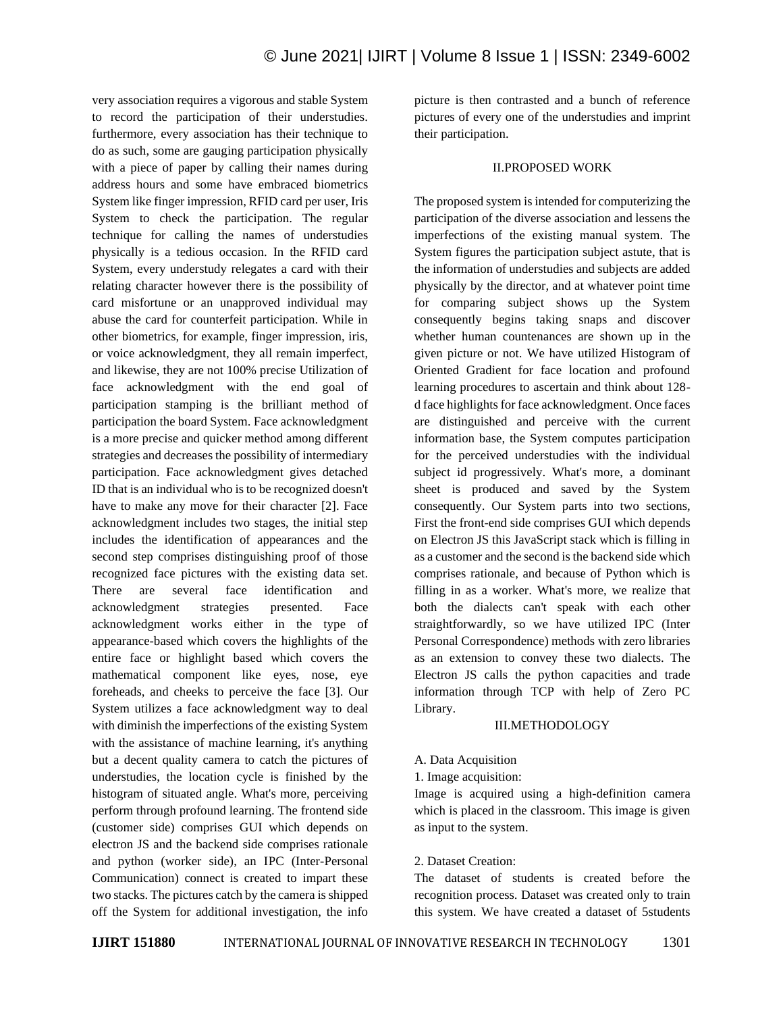very association requires a vigorous and stable System to record the participation of their understudies. furthermore, every association has their technique to do as such, some are gauging participation physically with a piece of paper by calling their names during address hours and some have embraced biometrics System like finger impression, RFID card per user, Iris System to check the participation. The regular technique for calling the names of understudies physically is a tedious occasion. In the RFID card System, every understudy relegates a card with their relating character however there is the possibility of card misfortune or an unapproved individual may abuse the card for counterfeit participation. While in other biometrics, for example, finger impression, iris, or voice acknowledgment, they all remain imperfect, and likewise, they are not 100% precise Utilization of face acknowledgment with the end goal of participation stamping is the brilliant method of participation the board System. Face acknowledgment is a more precise and quicker method among different strategies and decreases the possibility of intermediary participation. Face acknowledgment gives detached ID that is an individual who is to be recognized doesn't have to make any move for their character [2]. Face acknowledgment includes two stages, the initial step includes the identification of appearances and the second step comprises distinguishing proof of those recognized face pictures with the existing data set. There are several face identification and acknowledgment strategies presented. Face acknowledgment works either in the type of appearance-based which covers the highlights of the entire face or highlight based which covers the mathematical component like eyes, nose, eye foreheads, and cheeks to perceive the face [3]. Our System utilizes a face acknowledgment way to deal with diminish the imperfections of the existing System with the assistance of machine learning, it's anything but a decent quality camera to catch the pictures of understudies, the location cycle is finished by the histogram of situated angle. What's more, perceiving perform through profound learning. The frontend side (customer side) comprises GUI which depends on electron JS and the backend side comprises rationale and python (worker side), an IPC (Inter-Personal Communication) connect is created to impart these two stacks. The pictures catch by the camera is shipped off the System for additional investigation, the info picture is then contrasted and a bunch of reference pictures of every one of the understudies and imprint their participation.

## II.PROPOSED WORK

The proposed system is intended for computerizing the participation of the diverse association and lessens the imperfections of the existing manual system. The System figures the participation subject astute, that is the information of understudies and subjects are added physically by the director, and at whatever point time for comparing subject shows up the System consequently begins taking snaps and discover whether human countenances are shown up in the given picture or not. We have utilized Histogram of Oriented Gradient for face location and profound learning procedures to ascertain and think about 128 d face highlights for face acknowledgment. Once faces are distinguished and perceive with the current information base, the System computes participation for the perceived understudies with the individual subject id progressively. What's more, a dominant sheet is produced and saved by the System consequently. Our System parts into two sections, First the front-end side comprises GUI which depends on Electron JS this JavaScript stack which is filling in as a customer and the second is the backend side which comprises rationale, and because of Python which is filling in as a worker. What's more, we realize that both the dialects can't speak with each other straightforwardly, so we have utilized IPC (Inter Personal Correspondence) methods with zero libraries as an extension to convey these two dialects. The Electron JS calls the python capacities and trade information through TCP with help of Zero PC Library.

# III.METHODOLOGY

# A. Data Acquisition

1. Image acquisition:

Image is acquired using a high-definition camera which is placed in the classroom. This image is given as input to the system.

# 2. Dataset Creation:

The dataset of students is created before the recognition process. Dataset was created only to train this system. We have created a dataset of 5students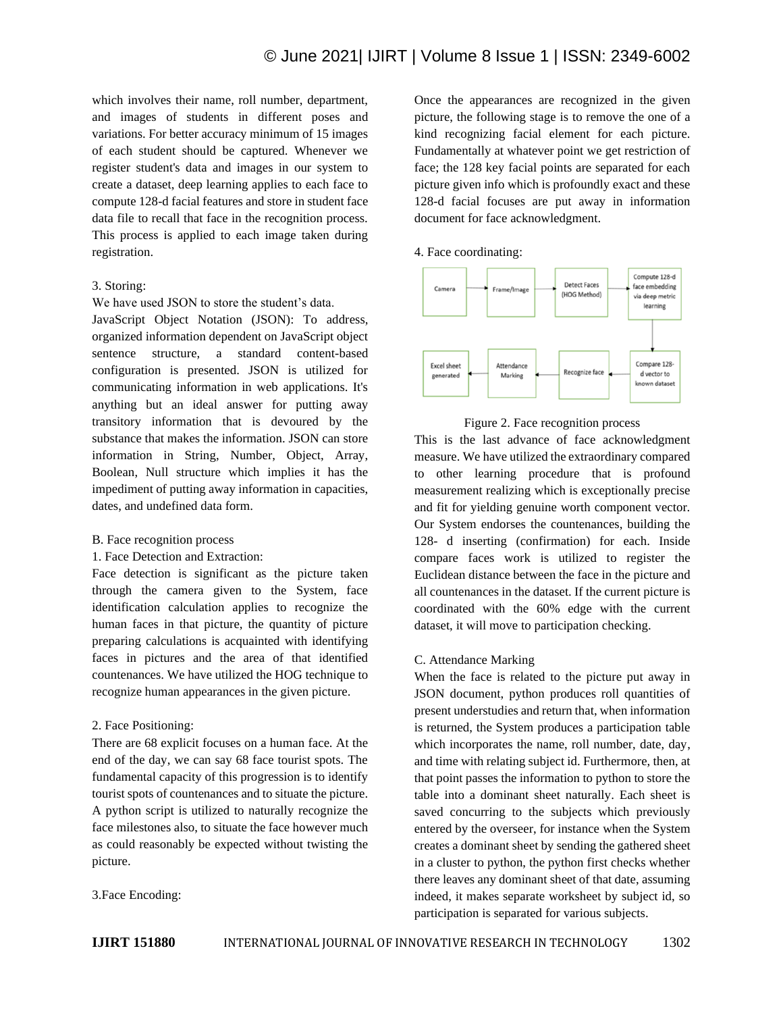which involves their name, roll number, department, and images of students in different poses and variations. For better accuracy minimum of 15 images of each student should be captured. Whenever we register student's data and images in our system to create a dataset, deep learning applies to each face to compute 128-d facial features and store in student face data file to recall that face in the recognition process. This process is applied to each image taken during registration.

# 3. Storing:

We have used JSON to store the student's data.

JavaScript Object Notation (JSON): To address, organized information dependent on JavaScript object sentence structure, a standard content-based configuration is presented. JSON is utilized for communicating information in web applications. It's anything but an ideal answer for putting away transitory information that is devoured by the substance that makes the information. JSON can store information in String, Number, Object, Array, Boolean, Null structure which implies it has the impediment of putting away information in capacities, dates, and undefined data form.

#### B. Face recognition process

1. Face Detection and Extraction:

Face detection is significant as the picture taken through the camera given to the System, face identification calculation applies to recognize the human faces in that picture, the quantity of picture preparing calculations is acquainted with identifying faces in pictures and the area of that identified countenances. We have utilized the HOG technique to recognize human appearances in the given picture.

# 2. Face Positioning:

There are 68 explicit focuses on a human face. At the end of the day, we can say 68 face tourist spots. The fundamental capacity of this progression is to identify tourist spots of countenances and to situate the picture. A python script is utilized to naturally recognize the face milestones also, to situate the face however much as could reasonably be expected without twisting the picture.

3.Face Encoding:

Once the appearances are recognized in the given picture, the following stage is to remove the one of a kind recognizing facial element for each picture. Fundamentally at whatever point we get restriction of face; the 128 key facial points are separated for each picture given info which is profoundly exact and these 128-d facial focuses are put away in information document for face acknowledgment.

#### 4. Face coordinating:



# Figure 2. Face recognition process

This is the last advance of face acknowledgment measure. We have utilized the extraordinary compared to other learning procedure that is profound measurement realizing which is exceptionally precise and fit for yielding genuine worth component vector. Our System endorses the countenances, building the 128- d inserting (confirmation) for each. Inside compare faces work is utilized to register the Euclidean distance between the face in the picture and all countenances in the dataset. If the current picture is coordinated with the 60% edge with the current dataset, it will move to participation checking.

# C. Attendance Marking

When the face is related to the picture put away in JSON document, python produces roll quantities of present understudies and return that, when information is returned, the System produces a participation table which incorporates the name, roll number, date, day, and time with relating subject id. Furthermore, then, at that point passes the information to python to store the table into a dominant sheet naturally. Each sheet is saved concurring to the subjects which previously entered by the overseer, for instance when the System creates a dominant sheet by sending the gathered sheet in a cluster to python, the python first checks whether there leaves any dominant sheet of that date, assuming indeed, it makes separate worksheet by subject id, so participation is separated for various subjects.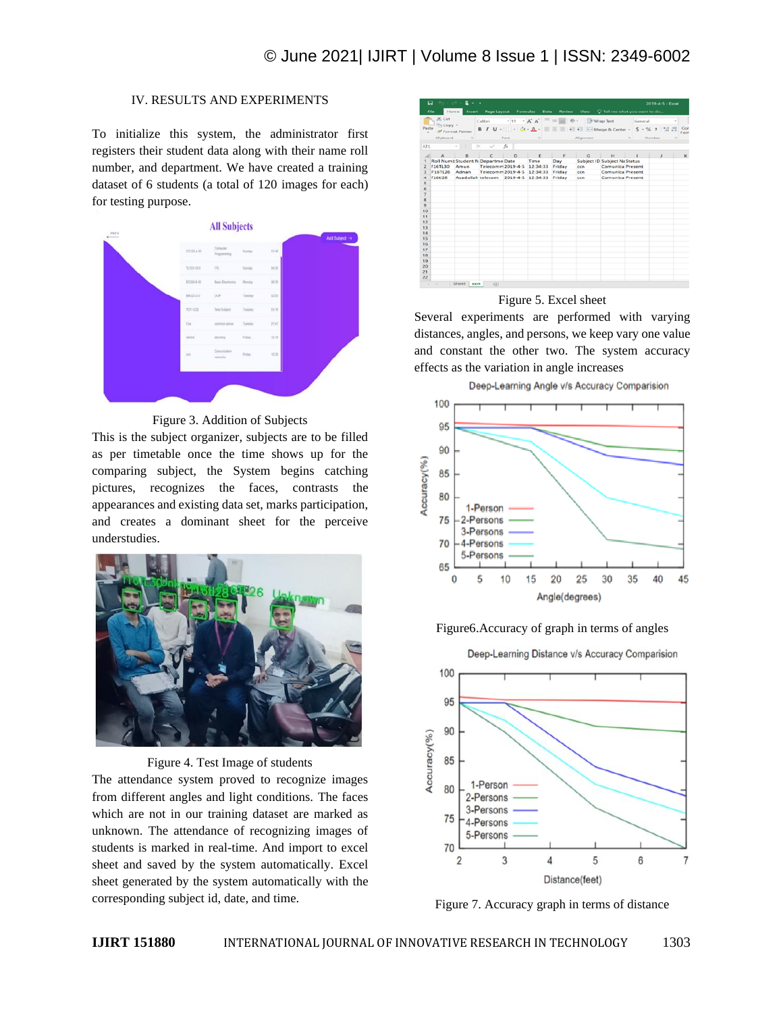# IV. RESULTS AND EXPERIMENTS

To initialize this system, the administrator first registers their student data along with their name roll number, and department. We have created a training dataset of 6 students (a total of 120 images for each) for testing purpose.



Figure 3. Addition of Subjects

This is the subject organizer, subjects are to be filled as per timetable once the time shows up for the comparing subject, the System begins catching pictures, recognizes the faces, contrasts the appearances and existing data set, marks participation, and creates a dominant sheet for the perceive understudies.



Figure 4. Test Image of students

The attendance system proved to recognize images from different angles and light conditions. The faces which are not in our training dataset are marked as unknown. The attendance of recognizing images of students is marked in real-time. And import to excel sheet and saved by the system automatically. Excel sheet generated by the system automatically with the corresponding subject id, date, and time.

|                     | 5.7.7<br>⊟       | $2 + 1$                                  |                                     |              |                                                                         |               |                                           |                              |                            | 2019-4-5 - Excel                                                     |      |
|---------------------|------------------|------------------------------------------|-------------------------------------|--------------|-------------------------------------------------------------------------|---------------|-------------------------------------------|------------------------------|----------------------------|----------------------------------------------------------------------|------|
|                     | Home<br>File     | Insert                                   | Page Layout Formulas Data           |              |                                                                         | <b>Review</b> | View $\qquad$ Tell me what you want to do |                              |                            |                                                                      |      |
|                     | $X_{\text{out}}$ |                                          | Calibri                             |              | $\cdot$ 11 $\cdot$ A' A' $\equiv$ = $\Rightarrow$ $\Rightarrow$ $\cdot$ |               |                                           | Virap Text                   | General                    |                                                                      |      |
| Paste               | <b>Th</b> Copy = |                                          |                                     |              |                                                                         |               |                                           |                              |                            | B / U - 田 - 立 - A - 田 三 三 - 三 田 Hi Hollange & Center - S - % , 1 % % | Cor  |
|                     |                  | Format Painter                           |                                     |              |                                                                         |               |                                           |                              |                            |                                                                      | Forn |
|                     | Clipboard        | $-74$                                    |                                     | Font         | <b>Contract Contract Contract</b>                                       |               | Alignment                                 |                              | $\mathcal{L}_{\mathbf{a}}$ | Number<br>$\Gamma_{\rm R}$                                           |      |
| 121                 |                  | $\mathbb{R}$<br>$\sim$<br>$>\,$          | $\sim$                              | fx           |                                                                         |               |                                           |                              |                            |                                                                      |      |
| $\mathcal{A}$       | $\mathbb{A}$     | $\mathbf{B}$                             | $\epsilon$                          | $\mathbf{D}$ | $\blacksquare$                                                          | $\mathbb{R}$  | G                                         | $-14$                        | <b>Contract Contract</b>   | $\mathbf{r}$                                                         | ĸ    |
|                     |                  | <b>Roll Numb Student N Departme Date</b> |                                     |              | Time                                                                    | Day           |                                           | Subject ID Subject Na Status |                            |                                                                      |      |
| $\overline{2}$      | <b>f16TL30</b>   | Amun                                     | Telecomm 2019-4-5 12:34:33          |              |                                                                         | Friday        | cen                                       | <b>Comunica Present</b>      |                            |                                                                      |      |
| 3                   | <b>F16TL26</b>   | Adnan                                    | Telecomm 2019-4-5 12:34:33          |              |                                                                         | Friday        | cen                                       | <b>Comunica Present</b>      |                            |                                                                      |      |
| $\boldsymbol{A}$    | f16tl28          |                                          | Asadullah telecom 2019-4-5 12:34:33 |              |                                                                         | Friday        | ccn                                       | <b>Comunica Present</b>      |                            |                                                                      |      |
| 5                   |                  |                                          |                                     |              |                                                                         |               |                                           |                              |                            |                                                                      |      |
| 6<br>$\overline{7}$ |                  |                                          |                                     |              |                                                                         |               |                                           |                              |                            |                                                                      |      |
| 8                   |                  |                                          |                                     |              |                                                                         |               |                                           |                              |                            |                                                                      |      |
| $\Omega$            |                  |                                          |                                     |              |                                                                         |               |                                           |                              |                            |                                                                      |      |
| 10                  |                  |                                          |                                     |              |                                                                         |               |                                           |                              |                            |                                                                      |      |
| 11                  |                  |                                          |                                     |              |                                                                         |               |                                           |                              |                            |                                                                      |      |
| 12                  |                  |                                          |                                     |              |                                                                         |               |                                           |                              |                            |                                                                      |      |
| 13                  |                  |                                          |                                     |              |                                                                         |               |                                           |                              |                            |                                                                      |      |
| 14                  |                  |                                          |                                     |              |                                                                         |               |                                           |                              |                            |                                                                      |      |
| 15                  |                  |                                          |                                     |              |                                                                         |               |                                           |                              |                            |                                                                      |      |
| 16                  |                  |                                          |                                     |              |                                                                         |               |                                           |                              |                            |                                                                      |      |
| 17                  |                  |                                          |                                     |              |                                                                         |               |                                           |                              |                            |                                                                      |      |
| 18<br>19            |                  |                                          |                                     |              |                                                                         |               |                                           |                              |                            |                                                                      |      |
| 20                  |                  |                                          |                                     |              |                                                                         |               |                                           |                              |                            |                                                                      |      |
| 21                  |                  |                                          |                                     |              |                                                                         |               |                                           |                              |                            |                                                                      |      |
| 22                  |                  |                                          |                                     |              |                                                                         |               |                                           |                              |                            |                                                                      |      |
| $\sim$              | $\sim$           | Sheet  <br>ccn                           | $\circledR$                         |              |                                                                         |               |                                           |                              |                            |                                                                      |      |

# Figure 5. Excel sheet

Several experiments are performed with varying distances, angles, and persons, we keep vary one value and constant the other two. The system accuracy effects as the variation in angle increases



# Figure6.Accuracy of graph in terms of angles



Figure 7. Accuracy graph in terms of distance